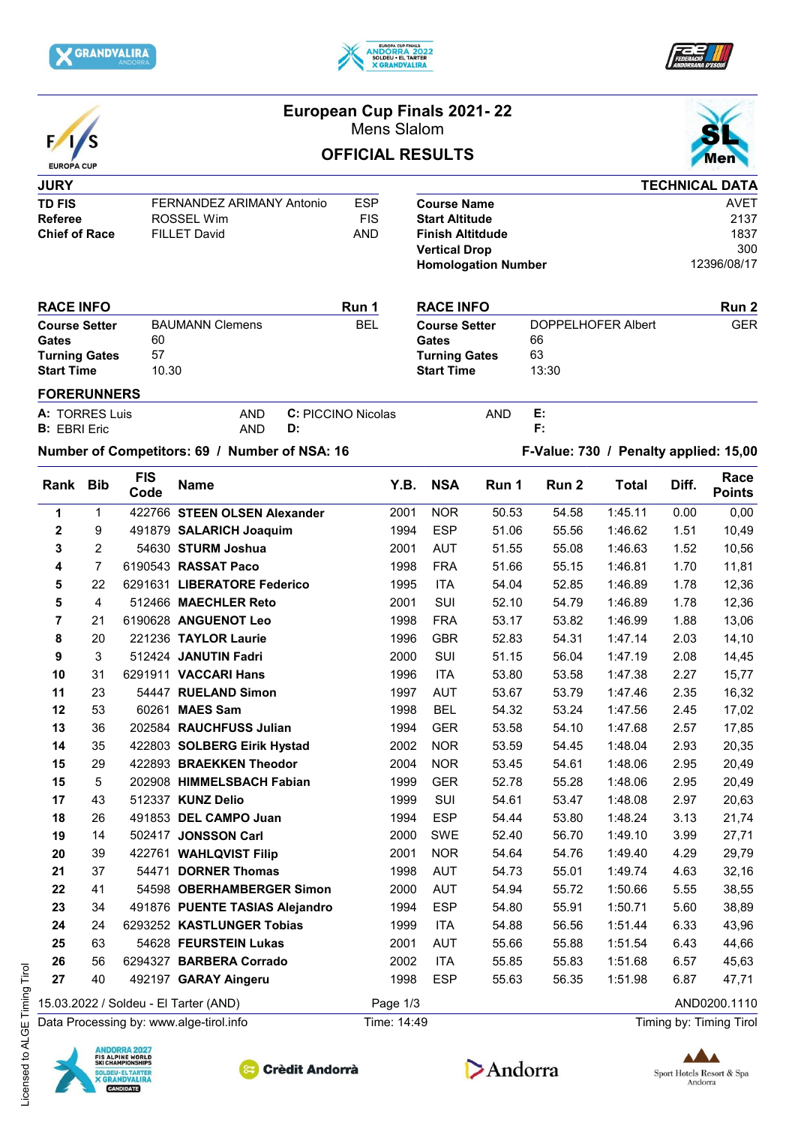







# **European Cup Finals 2021- 22**

Mens Slalom

# **OFFICIAL RESULTS**



### **JURY TD FIS** FERNANDEZ ARIMANY Antonio ESP<br>Referee ROSSFI Wim FIS **Referee** ROSSEL Wim **Chief of Race** FILLET David **AND**

|                            | <b>TECHNICAL DATA</b> |
|----------------------------|-----------------------|
| <b>Course Name</b>         | AVFT                  |
| <b>Start Altitude</b>      | 2137                  |
| <b>Finish Altitdude</b>    | 1837                  |
| <b>Vertical Drop</b>       | 300                   |
| <b>Homologation Number</b> | 12396/08/17           |

**RACE INFO RACE INFO Course Setter** DOPPELHOFER Albert GER<br>
Gates 66

#### **RACE INFO RUN 1 Course Setter** BAUMANN Clemens BEL<br> **Gates** 60 Gates **Turning Gates** 57 **Start Time** 10.30

| <b>FORERUNNERS</b> |  |
|--------------------|--|
|                    |  |

| $A: T^{\sim}$ | פח שפר<br>uis       | AND | ≀ Nicolas<br>NIC<br>זי זופו | AND | . . |
|---------------|---------------------|-----|-----------------------------|-----|-----|
|               | <b>B:</b> EBRI Eric | AND | D                           |     |     |

Gates

**Turning Gates** 63 **Start Time** 13:30

## **Number of Competitors: 69 / Number of NSA: 16 F-Value: 730 / Penalty applied: 15,00**

| Rank                    | <b>Bib</b>                              | <b>FIS</b><br>Code | <b>Name</b>                           | Y.B.        | <b>NSA</b> | Run 1 | Run 2 | <b>Total</b> | Diff. | Race<br><b>Points</b>   |
|-------------------------|-----------------------------------------|--------------------|---------------------------------------|-------------|------------|-------|-------|--------------|-------|-------------------------|
| 1                       | $\mathbf{1}$                            |                    | 422766 STEEN OLSEN Alexander          | 2001        | <b>NOR</b> | 50.53 | 54.58 | 1:45.11      | 0.00  | 0,00                    |
| $\overline{\mathbf{2}}$ | 9                                       |                    | 491879 SALARICH Joaquim               | 1994        | <b>ESP</b> | 51.06 | 55.56 | 1:46.62      | 1.51  | 10,49                   |
| 3                       | $\overline{2}$                          |                    | 54630 STURM Joshua                    | 2001        | <b>AUT</b> | 51.55 | 55.08 | 1:46.63      | 1.52  | 10,56                   |
| 4                       | $\overline{7}$                          |                    | 6190543 RASSAT Paco                   | 1998        | <b>FRA</b> | 51.66 | 55.15 | 1:46.81      | 1.70  | 11,81                   |
| 5                       | 22                                      |                    | 6291631 LIBERATORE Federico           | 1995        | <b>ITA</b> | 54.04 | 52.85 | 1:46.89      | 1.78  | 12,36                   |
| 5                       | $\overline{\mathbf{4}}$                 |                    | 512466 MAECHLER Reto                  | 2001        | SUI        | 52.10 | 54.79 | 1:46.89      | 1.78  | 12,36                   |
| 7                       | 21                                      |                    | 6190628 ANGUENOT Leo                  | 1998        | <b>FRA</b> | 53.17 | 53.82 | 1:46.99      | 1.88  | 13,06                   |
| 8                       | 20                                      |                    | 221236 TAYLOR Laurie                  | 1996        | <b>GBR</b> | 52.83 | 54.31 | 1:47.14      | 2.03  | 14,10                   |
| $\boldsymbol{9}$        | 3                                       |                    | 512424 JANUTIN Fadri                  | 2000        | SUI        | 51.15 | 56.04 | 1:47.19      | 2.08  | 14,45                   |
| 10                      | 31                                      |                    | 6291911 VACCARI Hans                  | 1996        | <b>ITA</b> | 53.80 | 53.58 | 1:47.38      | 2.27  | 15,77                   |
| 11                      | 23                                      |                    | 54447 RUELAND Simon                   | 1997        | <b>AUT</b> | 53.67 | 53.79 | 1:47.46      | 2.35  | 16,32                   |
| 12                      | 53                                      |                    | 60261 MAES Sam                        | 1998        | <b>BEL</b> | 54.32 | 53.24 | 1:47.56      | 2.45  | 17,02                   |
| 13                      | 36                                      |                    | 202584 RAUCHFUSS Julian               | 1994        | <b>GER</b> | 53.58 | 54.10 | 1:47.68      | 2.57  | 17,85                   |
| 14                      | 35                                      |                    | 422803 SOLBERG Eirik Hystad           | 2002        | <b>NOR</b> | 53.59 | 54.45 | 1:48.04      | 2.93  | 20,35                   |
| 15                      | 29                                      |                    | 422893 BRAEKKEN Theodor               | 2004        | <b>NOR</b> | 53.45 | 54.61 | 1:48.06      | 2.95  | 20,49                   |
| 15                      | 5                                       |                    | 202908 HIMMELSBACH Fabian             | 1999        | <b>GER</b> | 52.78 | 55.28 | 1:48.06      | 2.95  | 20,49                   |
| 17                      | 43                                      |                    | 512337 KUNZ Delio                     | 1999        | SUI        | 54.61 | 53.47 | 1:48.08      | 2.97  | 20,63                   |
| 18                      | 26                                      |                    | 491853 DEL CAMPO Juan                 | 1994        | <b>ESP</b> | 54.44 | 53.80 | 1:48.24      | 3.13  | 21,74                   |
| 19                      | 14                                      |                    | 502417 JONSSON Carl                   | 2000        | SWE        | 52.40 | 56.70 | 1:49.10      | 3.99  | 27,71                   |
| 20                      | 39                                      |                    | 422761 WAHLQVIST Filip                | 2001        | <b>NOR</b> | 54.64 | 54.76 | 1:49.40      | 4.29  | 29,79                   |
| 21                      | 37                                      |                    | 54471 DORNER Thomas                   | 1998        | <b>AUT</b> | 54.73 | 55.01 | 1:49.74      | 4.63  | 32,16                   |
| 22                      | 41                                      |                    | 54598 OBERHAMBERGER Simon             | 2000        | <b>AUT</b> | 54.94 | 55.72 | 1:50.66      | 5.55  | 38,55                   |
| 23                      | 34                                      |                    | 491876 PUENTE TASIAS Alejandro        | 1994        | <b>ESP</b> | 54.80 | 55.91 | 1:50.71      | 5.60  | 38,89                   |
| 24                      | 24                                      |                    | 6293252 KASTLUNGER Tobias             | 1999        | <b>ITA</b> | 54.88 | 56.56 | 1:51.44      | 6.33  | 43,96                   |
| 25                      | 63                                      |                    | 54628 FEURSTEIN Lukas                 | 2001        | <b>AUT</b> | 55.66 | 55.88 | 1:51.54      | 6.43  | 44,66                   |
| 26                      | 56                                      |                    | 6294327 BARBERA Corrado               | 2002        | <b>ITA</b> | 55.85 | 55.83 | 1:51.68      | 6.57  | 45,63                   |
| 27                      | 40                                      |                    | 492197 GARAY Aingeru                  | 1998        | <b>ESP</b> | 55.63 | 56.35 | 1:51.98      | 6.87  | 47,71                   |
|                         |                                         |                    | 15.03.2022 / Soldeu - El Tarter (AND) | Page 1/3    |            |       |       |              |       | AND0200.1110            |
|                         | Data Processing by: www.alge-tirol.info |                    |                                       | Time: 14:49 |            |       |       |              |       | Timing by: Timing Tirol |







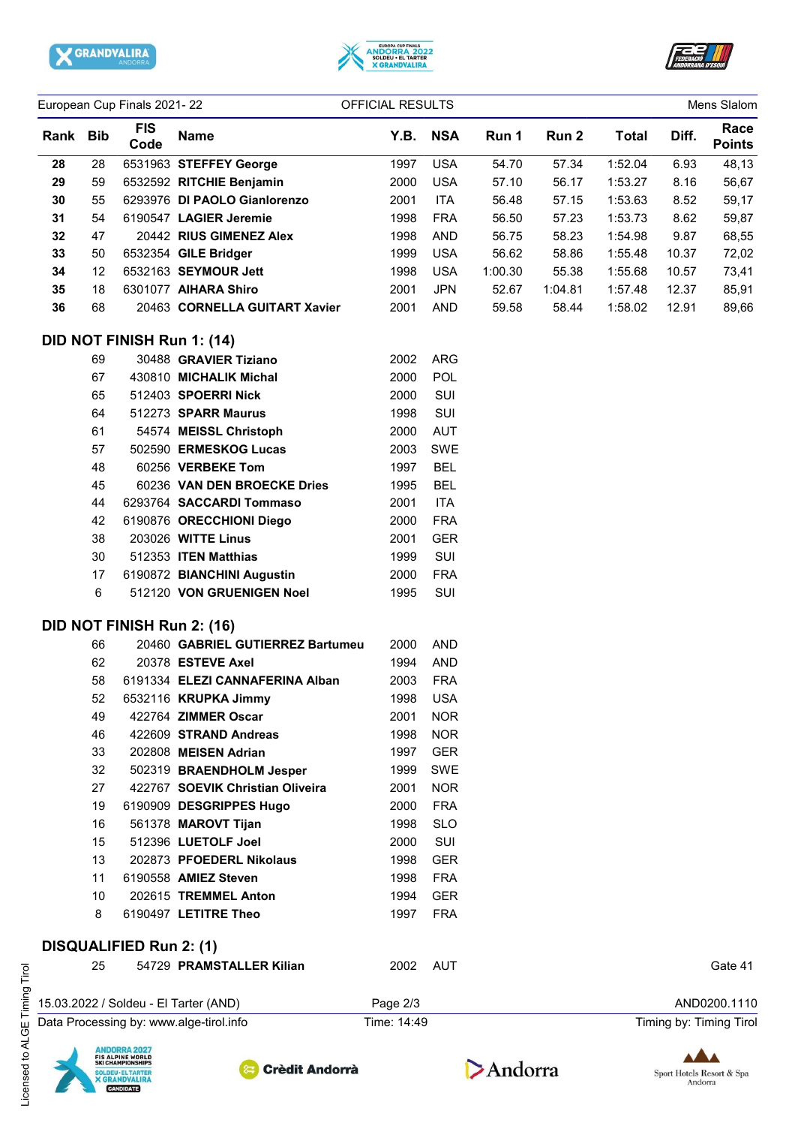





| European Cup Finals 2021-22 |            |                                |                                         | OFFICIAL RESULTS |            |         |         |              |       | Mens Slalom             |
|-----------------------------|------------|--------------------------------|-----------------------------------------|------------------|------------|---------|---------|--------------|-------|-------------------------|
| Rank                        | <b>Bib</b> | <b>FIS</b><br>Code             | <b>Name</b>                             | Y.B.             | <b>NSA</b> | Run 1   | Run 2   | <b>Total</b> | Diff. | Race<br><b>Points</b>   |
| 28                          | 28         |                                | 6531963 STEFFEY George                  | 1997             | <b>USA</b> | 54.70   | 57.34   | 1:52.04      | 6.93  | 48,13                   |
| 29                          | 59         |                                | 6532592 RITCHIE Benjamin                | 2000             | <b>USA</b> | 57.10   | 56.17   | 1:53.27      | 8.16  | 56,67                   |
| 30                          | 55         |                                | 6293976 DI PAOLO Gianlorenzo            | 2001             | <b>ITA</b> | 56.48   | 57.15   | 1:53.63      | 8.52  | 59,17                   |
| 31                          | 54         |                                | 6190547 LAGIER Jeremie                  | 1998             | <b>FRA</b> | 56.50   | 57.23   | 1:53.73      | 8.62  | 59,87                   |
| 32                          | 47         |                                | 20442 RIUS GIMENEZ Alex                 | 1998             | <b>AND</b> | 56.75   | 58.23   | 1:54.98      | 9.87  | 68,55                   |
| 33                          | 50         |                                | 6532354 GILE Bridger                    | 1999             | <b>USA</b> | 56.62   | 58.86   | 1:55.48      | 10.37 | 72,02                   |
| 34                          | 12         |                                | 6532163 SEYMOUR Jett                    | 1998             | <b>USA</b> | 1:00.30 | 55.38   | 1:55.68      | 10.57 | 73,41                   |
| 35                          | 18         |                                | 6301077 AIHARA Shiro                    | 2001             | <b>JPN</b> | 52.67   | 1:04.81 | 1:57.48      | 12.37 | 85,91                   |
| 36                          | 68         |                                | 20463 CORNELLA GUITART Xavier           | 2001             | <b>AND</b> | 59.58   | 58.44   | 1:58.02      | 12.91 | 89,66                   |
|                             |            |                                | DID NOT FINISH Run 1: (14)              |                  |            |         |         |              |       |                         |
|                             | 69         |                                | 30488 GRAVIER Tiziano                   | 2002             | <b>ARG</b> |         |         |              |       |                         |
|                             | 67         |                                | 430810 MICHALIK Michal                  | 2000             | POL        |         |         |              |       |                         |
|                             | 65         |                                | 512403 SPOERRI Nick                     | 2000             | SUI        |         |         |              |       |                         |
|                             | 64         |                                | 512273 SPARR Maurus                     | 1998             | SUI        |         |         |              |       |                         |
|                             | 61         |                                | 54574 MEISSL Christoph                  | 2000             | <b>AUT</b> |         |         |              |       |                         |
|                             | 57         |                                | 502590 ERMESKOG Lucas                   | 2003             | SWE        |         |         |              |       |                         |
|                             | 48         |                                | 60256 VERBEKE Tom                       | 1997             | <b>BEL</b> |         |         |              |       |                         |
|                             | 45         |                                | 60236 VAN DEN BROECKE Dries             | 1995             | <b>BEL</b> |         |         |              |       |                         |
|                             | 44         |                                | 6293764 SACCARDI Tommaso                | 2001             | <b>ITA</b> |         |         |              |       |                         |
|                             | 42         |                                | 6190876 ORECCHIONI Diego                | 2000             | <b>FRA</b> |         |         |              |       |                         |
|                             | 38         |                                | 203026 WITTE Linus                      | 2001             | <b>GER</b> |         |         |              |       |                         |
|                             | 30         |                                | 512353 ITEN Matthias                    | 1999             | SUI        |         |         |              |       |                         |
|                             | 17         |                                | 6190872 BIANCHINI Augustin              | 2000             | <b>FRA</b> |         |         |              |       |                         |
|                             | 6          |                                | 512120 VON GRUENIGEN Noel               | 1995             | SUI        |         |         |              |       |                         |
|                             |            |                                | DID NOT FINISH Run 2: (16)              |                  |            |         |         |              |       |                         |
|                             | 66         |                                | 20460 GABRIEL GUTIERREZ Bartumeu        | 2000             | <b>AND</b> |         |         |              |       |                         |
|                             | 62         |                                | 20378 ESTEVE Axel                       | 1994             | <b>AND</b> |         |         |              |       |                         |
|                             | 58         |                                | 6191334 ELEZI CANNAFERINA Alban         | 2003             | <b>FRA</b> |         |         |              |       |                         |
|                             | 52         |                                | 6532116 KRUPKA Jimmy                    |                  | 1998 USA   |         |         |              |       |                         |
|                             | 49         |                                | 422764 ZIMMER Oscar                     | 2001             | <b>NOR</b> |         |         |              |       |                         |
|                             | 46         |                                | 422609 STRAND Andreas                   | 1998             | <b>NOR</b> |         |         |              |       |                         |
|                             | 33         |                                | 202808 MEISEN Adrian                    | 1997             | <b>GER</b> |         |         |              |       |                         |
|                             | 32         |                                | 502319 BRAENDHOLM Jesper                | 1999             | <b>SWE</b> |         |         |              |       |                         |
|                             | 27         |                                | 422767 SOEVIK Christian Oliveira        | 2001             | <b>NOR</b> |         |         |              |       |                         |
|                             | 19         |                                | 6190909 DESGRIPPES Hugo                 | 2000             | <b>FRA</b> |         |         |              |       |                         |
|                             | 16         |                                | 561378 MAROVT Tijan                     | 1998             | <b>SLO</b> |         |         |              |       |                         |
|                             | 15         |                                | 512396 LUETOLF Joel                     | 2000             | SUI        |         |         |              |       |                         |
|                             | 13         |                                | 202873 PFOEDERL Nikolaus                | 1998             | <b>GER</b> |         |         |              |       |                         |
|                             | 11         |                                | 6190558 AMIEZ Steven                    | 1998             | <b>FRA</b> |         |         |              |       |                         |
|                             | 10         |                                | 202615 TREMMEL Anton                    | 1994             | <b>GER</b> |         |         |              |       |                         |
|                             | 8          |                                | 6190497 LETITRE Theo                    | 1997             | <b>FRA</b> |         |         |              |       |                         |
|                             |            | <b>DISQUALIFIED Run 2: (1)</b> |                                         |                  |            |         |         |              |       |                         |
|                             | 25         |                                | 54729 PRAMSTALLER Kilian                | 2002             | AUT        |         |         |              |       | Gate 41                 |
|                             |            |                                | 15.03.2022 / Soldeu - El Tarter (AND)   | Page 2/3         |            |         |         |              |       | AND0200.1110            |
|                             |            |                                | Data Processing by: www.alge-tirol.info | Time: 14:49      |            |         |         |              |       | Timing by: Timing Tirol |



Licensed to ALGE Timing Tirol

Licensed to ALGE Timing Tirol